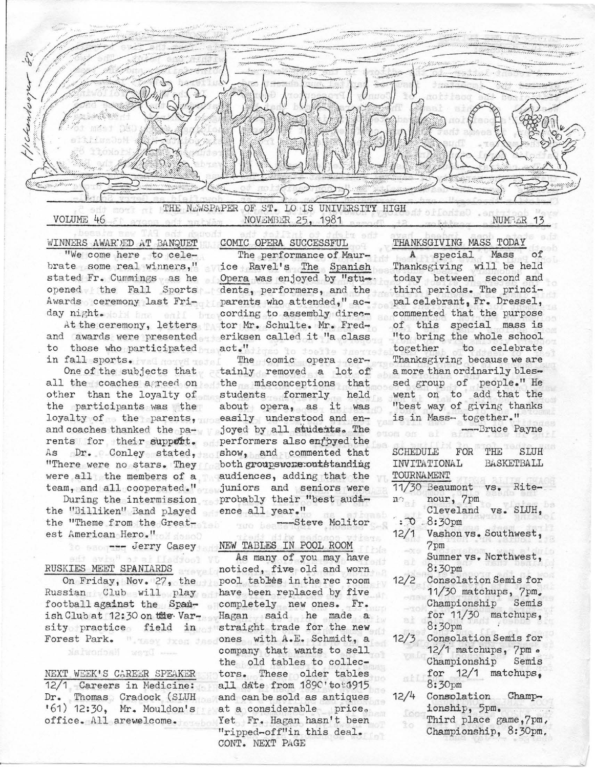

WINNERS AWAR"JED AT BANQUET "We come here to celebrate some real winners," stated Fr. Cummings as he opened the Fall Sports Awards ceremony last Friday night. Mobil has eall

At the ceremony, letters and awards were presented to those who participated in fall sports. Well norve to

One of the subjects that all the coaches agreed on other than the loyalty of the participants was the loyalty of the parents, and coaches thanked the parents for their support. As Dr. Conley stated, "There were no stars. They were all the members of a team, and all cooperated."

During the intermission the "Billiken" Band played the "Theme from the Greatest American Hero." rican Hero."<br>--- Jerry Casey

## RUSKIES MEET SPANIARDS

On Friday, Nov. 27, the Russian Club will play football against the Spanish Club at 12:30 on the Varsity practice field in Forest Park. " "Laey dreg

NEXT WEEK'S CAREER SPEAKER 12/1 Careers in Medicine: Dr. Thomas Cradock (SLUH<br>'61) 12:30, Mr. Mouldon's office . All arewelcome.

COMIC OPERA SUCCESSFUL

The performance of Maurice Ravel's The Spanish Opera was enjoyed by "students, performers, and the parents who attended," according to assembly director Mr. Schulte. Mr. Frederiksen called it "a class act."

The comic opera certainly removed a lot of the misconceptions that students formerly held about opera, as it was easily understood and enjoyed by all students. The performers also enfoyed the show, and commented that both groupswere:outstanding audiences, adding that the juniors and seniors were probably their "best audience all year."

---Steve Molitor

## NEW TADLES IN POOL ROOM

As many of you may have noticed, five old and worn pool tables in the rec room have been replaced by five completely new ones. Fr. Hagan said he made a straight trade for the new ones with A.E. Schmidt, a company that wants to sell the old tables to collectors. These older tables all date from 189C'tot:1915 and can be sold as antiques at a considerable price. Yet Fr. Hagan hasn't been "ripped-off"in this deal. CDNT. NEXT PAGE

THANKSGIVING MASS TODAY

A special Mass Thanksgiving will be held today between second and third periods. The principal celebrant, Fr. Dressel, commented that the purpose of this special mass is "to bring the whole school together to celebrate Thanksgiving because we are a more than ordinarily blessed group of people." He went on to add that the "best way of giving thanks is in Mass- together."

--Bruce Payne

|                                                 | SCHEDULE FOR                                         |  | THE STIIH |  |
|-------------------------------------------------|------------------------------------------------------|--|-----------|--|
| INVITATIONAL<br><b>BASKETBALL</b><br>TOURNAMENT |                                                      |  |           |  |
| n <sub>0</sub>                                  | 11/30 Beaumont vs.<br>nour, 7pm                      |  | Rite-     |  |
|                                                 | Cleveland vs. SLUH,<br>$: 70.8:30 \text{pm}$         |  |           |  |
|                                                 | 12/1 Vashon vs. Southwest,<br>7pm                    |  |           |  |
|                                                 | Sumner vs. Northwest,<br>8:30pm                      |  |           |  |
| 12/2                                            | Consolation Semis for<br>11/30 matchups, 7pm.        |  |           |  |
|                                                 | Championship Semis<br>for 11/30 matchups,<br>8:30pm  |  |           |  |
| 12/3                                            | Consolation Semis for<br>12/1 matchups, 7pm.         |  |           |  |
|                                                 | Championship Semis<br>for $12/1$ matchups.<br>8:30pm |  |           |  |
| 12/4                                            | Consolation Champ-<br>ionship, 5pm.                  |  |           |  |
|                                                 |                                                      |  |           |  |

Third place game ,7pm, Championship, 8:30pm.